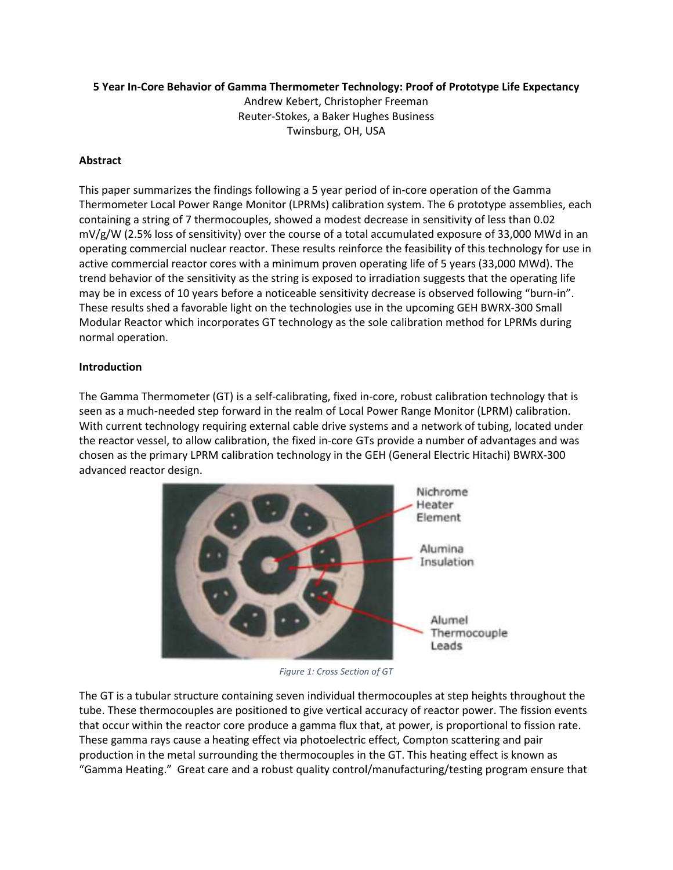# **5 Year In-Core Behavior of Gamma Thermometer Technology: Proof of Prototype Life Expectancy**

Andrew Kebert, Christopher Freeman Reuter-Stokes, a Baker Hughes Business Twinsburg, OH, USA

# **Abstract**

This paper summarizes the findings following a 5 year period of in-core operation of the Gamma Thermometer Local Power Range Monitor (LPRMs) calibration system. The 6 prototype assemblies, each containing a string of 7 thermocouples, showed a modest decrease in sensitivity of less than 0.02 mV/g/W (2.5% loss of sensitivity) over the course of a total accumulated exposure of 33,000 MWd in an operating commercial nuclear reactor. These results reinforce the feasibility of this technology for use in active commercial reactor cores with a minimum proven operating life of 5 years (33,000 MWd). The trend behavior of the sensitivity as the string is exposed to irradiation suggests that the operating life may be in excess of 10 years before a noticeable sensitivity decrease is observed following "burn-in". These results shed a favorable light on the technologies use in the upcoming GEH BWRX-300 Small Modular Reactor which incorporates GT technology as the sole calibration method for LPRMs during normal operation.

### **Introduction**

The Gamma Thermometer (GT) is a self-calibrating, fixed in-core, robust calibration technology that is seen as a much-needed step forward in the realm of Local Power Range Monitor (LPRM) calibration. With current technology requiring external cable drive systems and a network of tubing, located under the reactor vessel, to allow calibration, the fixed in-core GTs provide a number of advantages and was chosen as the primary LPRM calibration technology in the GEH (General Electric Hitachi) BWRX-300 advanced reactor design.



*Figure 1: Cross Section of GT* 

The GT is a tubular structure containing seven individual thermocouples at step heights throughout the tube. These thermocouples are positioned to give vertical accuracy of reactor power. The fission events that occur within the reactor core produce a gamma flux that, at power, is proportional to fission rate. These gamma rays cause a heating effect via photoelectric effect, Compton scattering and pair production in the metal surrounding the thermocouples in the GT. This heating effect is known as "Gamma Heating." Great care and a robust quality control/manufacturing/testing program ensure that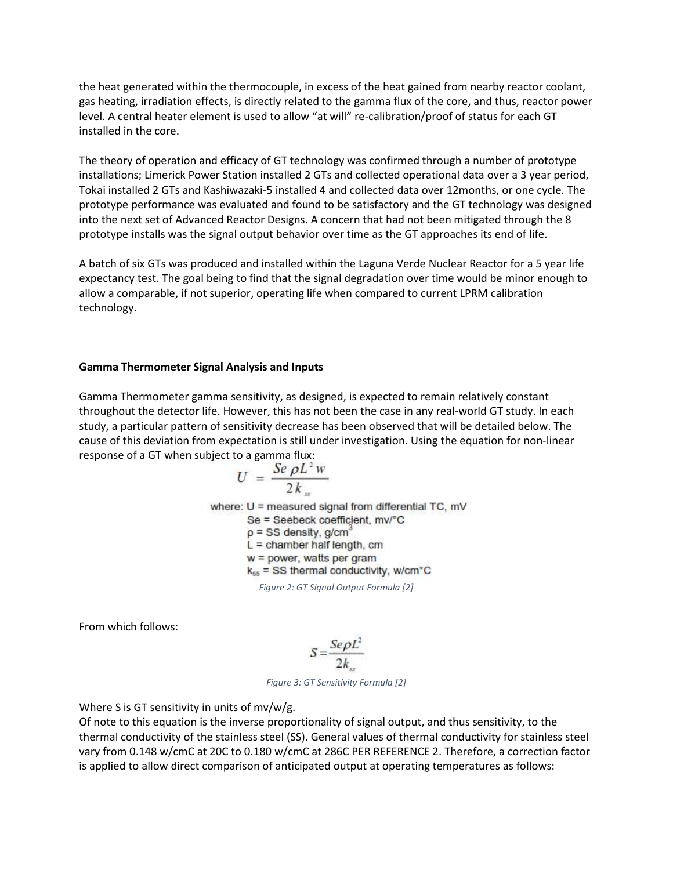the heat generated within the thermocouple, in excess of the heat gained from nearby reactor coolant, gas heating, irradiation effects, is directly related to the gamma flux of the core, and thus, reactor power level. A central heater element is used to allow "at will" re-calibration/proof of status for each GT installed in the core.

The theory of operation and efficacy of GT technology was confirmed through a number of prototype installations; Limerick Power Station installed 2 GTs and collected operational data over a 3 year period, Tokai installed 2 GTs and Kashiwazaki-5 installed 4 and collected data over 12months, or one cycle. The prototype performance was evaluated and found to be satisfactory and the GT technology was designed into the next set of Advanced Reactor Designs. A concern that had not been mitigated through the 8 prototype installs was the signal output behavior over time as the GT approaches its end of life.

A batch of six GTs was produced and installed within the Laguna Verde Nuclear Reactor for a 5 year life expectancy test. The goal being to find that the signal degradation over time would be minor enough to allow a comparable, if not superior, operating life when compared to current LPRM calibration technology.

#### **Gamma Thermometer Signal Analysis and Inputs**

Gamma Thermometer gamma sensitivity, as designed, is expected to remain relatively constant throughout the detector life. However, this has not been the case in any real-world GT study. In each study, a particular pattern of sensitivity decrease has been observed that will be detailed below. The cause of this deviation from expectation is still under investigation. Using the equation for non-linear response of a GT when subject to a gamma flux:

$$
U = \frac{Se \rho L^2 w}{2 k_w}
$$
  
where: U = measured signal from differential TC, mV

Se = Seebeck coefficient, mv/°C  $p = SS$  density, g/cm<sup>3</sup>  $L =$  chamber half length, cm  $w = power$ , watts per gram  $k_{ss}$  = SS thermal conductivity, w/cm $^{\circ}$ C

*Figure 2: GT Signal Output Formula [2]* 

From which follows:

$$
S = \frac{Se\rho L^2}{2k}
$$

*Figure 3: GT Sensitivity Formula [2]* 

Where S is GT sensitivity in units of mv/w/g.

Of note to this equation is the inverse proportionality of signal output, and thus sensitivity, to the thermal conductivity of the stainless steel (SS). General values of thermal conductivity for stainless steel vary from 0.148 w/cmC at 20C to 0.180 w/cmC at 286C PER REFERENCE 2. Therefore, a correction factor is applied to allow direct comparison of anticipated output at operating temperatures as follows: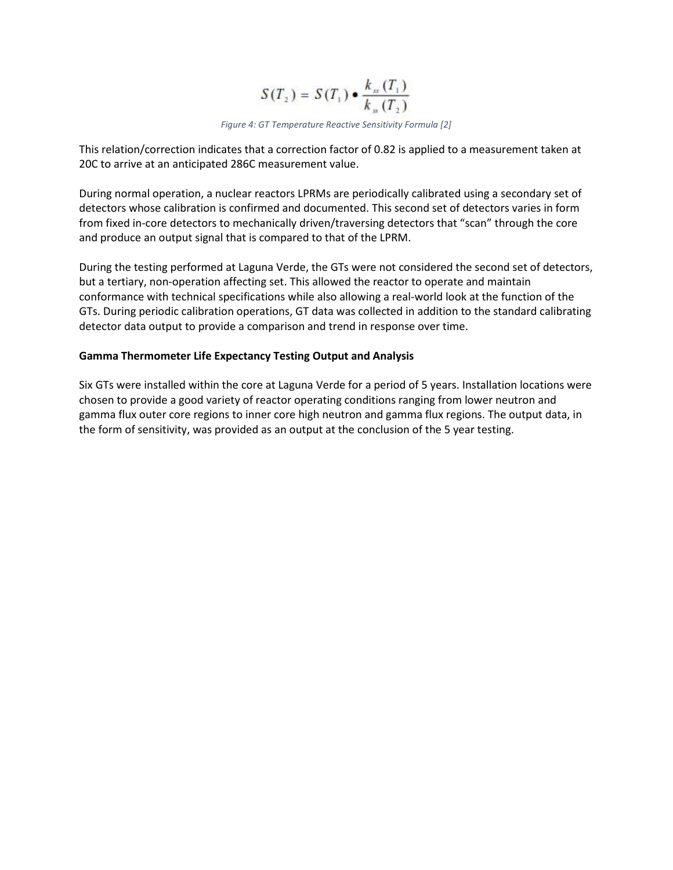$$
S(T_2) = S(T_1) \bullet \frac{k_{ss}(T_1)}{k_{ss}(T_2)}
$$

*Figure 4: GT Temperature Reactive Sensitivity Formula [2]* 

This relation/correction indicates that a correction factor of 0.82 is applied to a measurement taken at 20C to arrive at an anticipated 286C measurement value.

During normal operation, a nuclear reactors LPRMs are periodically calibrated using a secondary set of detectors whose calibration is confirmed and documented. This second set of detectors varies in form from fixed in-core detectors to mechanically driven/traversing detectors that "scan" through the core and produce an output signal that is compared to that of the LPRM.

During the testing performed at Laguna Verde, the GTs were not considered the second set of detectors, but a tertiary, non-operation affecting set. This allowed the reactor to operate and maintain conformance with technical specifications while also allowing a real-world look at the function of the GTs. During periodic calibration operations, GT data was collected in addition to the standard calibrating detector data output to provide a comparison and trend in response over time.

### **Gamma Thermometer Life Expectancy Testing Output and Analysis**

Six GTs were installed within the core at Laguna Verde for a period of 5 years. Installation locations were chosen to provide a good variety of reactor operating conditions ranging from lower neutron and gamma flux outer core regions to inner core high neutron and gamma flux regions. The output data, in the form of sensitivity, was provided as an output at the conclusion of the 5 year testing.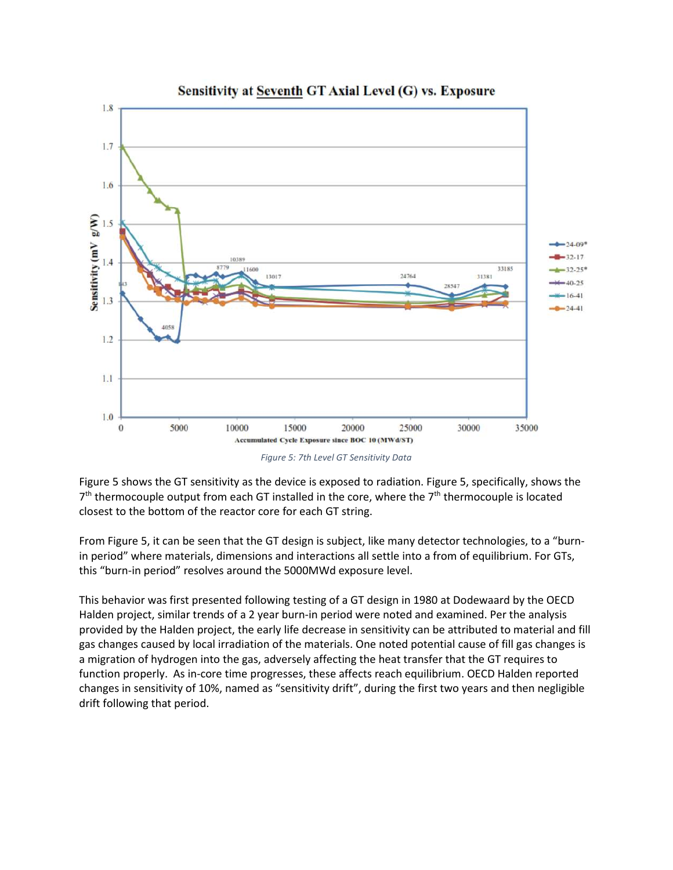

Sensitivity at Seventh GT Axial Level (G) vs. Exposure

*Figure 5: 7th Level GT Sensitivity Data* 

Figure 5 shows the GT sensitivity as the device is exposed to radiation. Figure 5, specifically, shows the  $7<sup>th</sup>$  thermocouple output from each GT installed in the core, where the  $7<sup>th</sup>$  thermocouple is located closest to the bottom of the reactor core for each GT string.

From Figure 5, it can be seen that the GT design is subject, like many detector technologies, to a "burnin period" where materials, dimensions and interactions all settle into a from of equilibrium. For GTs, this "burn-in period" resolves around the 5000MWd exposure level.

This behavior was first presented following testing of a GT design in 1980 at Dodewaard by the OECD Halden project, similar trends of a 2 year burn-in period were noted and examined. Per the analysis provided by the Halden project, the early life decrease in sensitivity can be attributed to material and fill gas changes caused by local irradiation of the materials. One noted potential cause of fill gas changes is a migration of hydrogen into the gas, adversely affecting the heat transfer that the GT requires to function properly. As in-core time progresses, these affects reach equilibrium. OECD Halden reported changes in sensitivity of 10%, named as "sensitivity drift", during the first two years and then negligible drift following that period.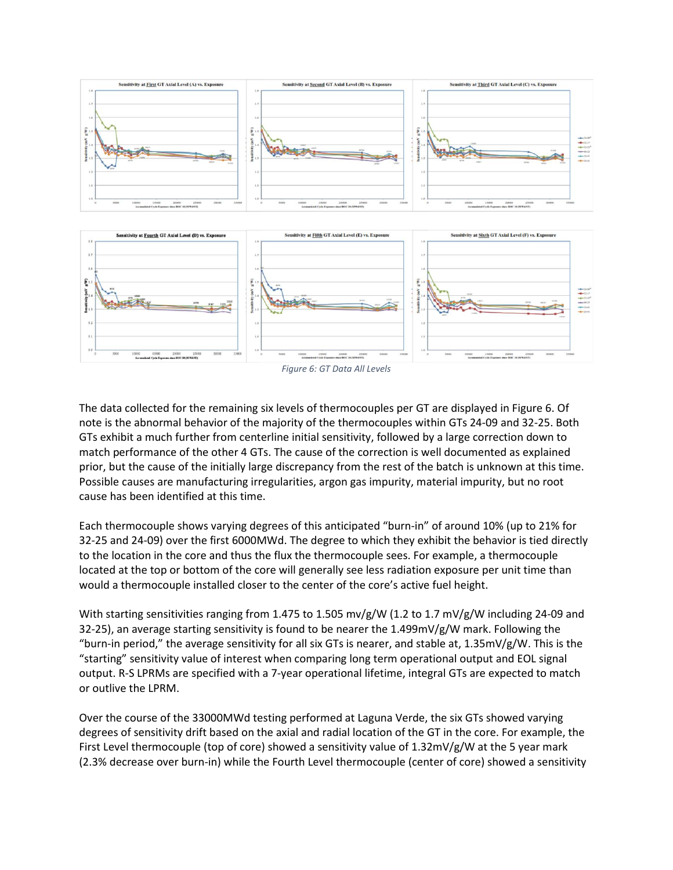



The data collected for the remaining six levels of thermocouples per GT are displayed in Figure 6. Of note is the abnormal behavior of the majority of the thermocouples within GTs 24-09 and 32-25. Both GTs exhibit a much further from centerline initial sensitivity, followed by a large correction down to match performance of the other 4 GTs. The cause of the correction is well documented as explained prior, but the cause of the initially large discrepancy from the rest of the batch is unknown at this time. Possible causes are manufacturing irregularities, argon gas impurity, material impurity, but no root cause has been identified at this time.

Each thermocouple shows varying degrees of this anticipated "burn-in" of around 10% (up to 21% for 32-25 and 24-09) over the first 6000MWd. The degree to which they exhibit the behavior is tied directly to the location in the core and thus the flux the thermocouple sees. For example, a thermocouple located at the top or bottom of the core will generally see less radiation exposure per unit time than would a thermocouple installed closer to the center of the core's active fuel height.

With starting sensitivities ranging from 1.475 to 1.505 mv/g/W (1.2 to 1.7 mV/g/W including 24-09 and 32-25), an average starting sensitivity is found to be nearer the 1.499mV/g/W mark. Following the "burn-in period," the average sensitivity for all six GTs is nearer, and stable at,  $1.35$ mV/g/W. This is the "starting" sensitivity value of interest when comparing long term operational output and EOL signal output. R-S LPRMs are specified with a 7-year operational lifetime, integral GTs are expected to match or outlive the LPRM.

Over the course of the 33000MWd testing performed at Laguna Verde, the six GTs showed varying degrees of sensitivity drift based on the axial and radial location of the GT in the core. For example, the First Level thermocouple (top of core) showed a sensitivity value of 1.32mV/g/W at the 5 year mark (2.3% decrease over burn-in) while the Fourth Level thermocouple (center of core) showed a sensitivity